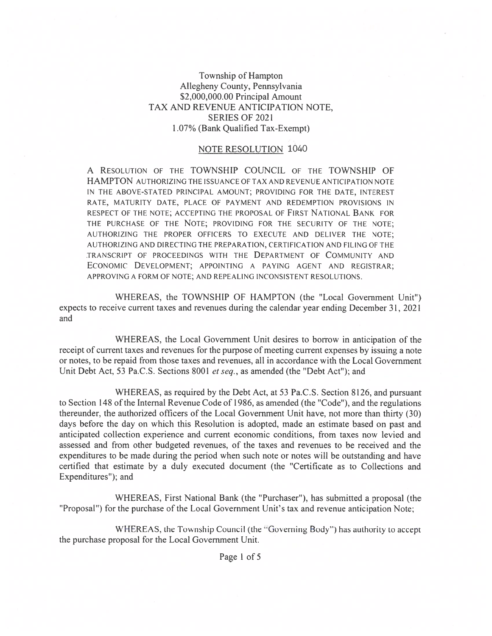## Township of Hampton Allegheny County, Pennsylvania \$2,000,000.00 Principal Amount TAX AND REVENUE ANTICIPATION NOTE, SERIES OF 2021 1.07% (Bank Qualified Tax-Exempt)

## NOTE RESOLUTION 1040

A RESOLUTION OF THE TOWNSHIP COUNCIL OF THE TOWNSHIP OF HAMPTON AUTHORIZING THE ISSUANCE OF TAX AND REVENUE ANTICIPATION NOTE IN THE ABOVE-STATED PRINCIPAL AMOUNT; PROVIDING FOR THE DATE, INTEREST RATE, MATURITY DATE, PLACE OF PAYMENT AND REDEMPTION PROVISIONS IN RESPECT OF THE NOTE; ACCEPTING THE PROPOSAL OF FIRST NATIONAL BANK FOR THE PURCHASE OF THE NOTE; PROVIDING FOR THE SECURITY OF THE NOTE; AUTHORIZING THE PROPER OFFICERS TO EXECUTE AND DELIVER THE NOTE; AUTHORIZING AND DIRECTING THE PREPARATION, CERTIFICATION AND FILING OF THE TRANSCRIPT OF PROCEEDINGS WITH THE DEPARTMENT OF COMMUNITY AND ECONOMIC DEVELOPMENT; APPOINTING A PAYING AGENT AND REGISTRAR; APPROVING A FORM OF NOTE; AND REPEALING INCONSISTENT RESOLUTIONS.

WHEREAS, the TOWNSHIP OF HAMPTON (the "Local Government Unit") expects to receive current taxes and revenues during the calendar year ending December 31, 2021 and

WHEREAS, the Local Government Unit desires to borrow in anticipation of the receipt of current taxes and revenues for the purpose of meeting current expenses by issuing a note or notes, to be repaid from those taxes and revenues, all in accordance with the Local Government Unit Debt Act, 53 Pa.C.S. Sections 8001 et seq., as amended (the "Debt Act"); and

WHEREAS, as required by the Debt Act, at 53 Pa.C.S. Section 8126, and pursuan<sup>t</sup> to Section 148 of the Internal Revenue Code of 1986, as amended (the "Code"), and the regulations thereunder, the authorized officers of the Local Government Unit have, not more than thirty (30) days before the day on which this Resolution is adopted, made an estimate based on pas<sup>t</sup> and anticipated collection experience and current economic conditions, from taxes now levied and assessed and from other budgeted revenues, of the taxes and revenues to be received and the expenditures to be made during the period when such note or notes will be outstanding and have certified that estimate by <sup>a</sup> duly executed document (the "Certificate as to Collections and Expenditures"); and

WHEREAS, First National Bank (the "Purchaser"), has submitted <sup>a</sup> proposal (the "Proposal") for the purchase of the Local Government Unit's tax and revenue anticipation Note;

WHEREAS, the Township Council (the "Governing Body") has authority to accep<sup>t</sup> the purchase proposal for the Local Government Unit.

Page 1 of 5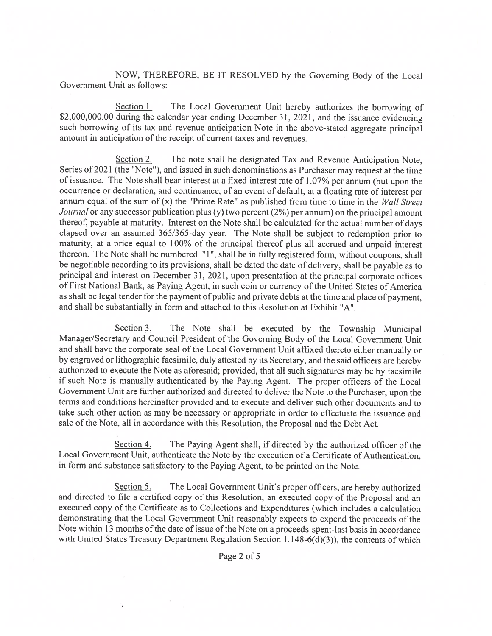NOW, THEREFORE, BE IT RESOLVED by the Governing Body of the Local Government Unit as follows:

Section 1. The Local Government Unit hereby authorizes the borrowing of \$2,000,000.00 during the calendar year ending December 31, 2021, and the issuance evidencing such borrowing of its tax and revenue anticipation Note in the above-stated aggregate principal amount in anticipation of the receipt of current taxes and revenues.

Section 2. The note shall be designated Tax and Revenue Anticipation Note, Series of 2021 (the "Note"), and issued in such denominations as Purchaser may request at the time of issuance. The Note shall bear interest at <sup>a</sup> fixed interest rate of 1.07% per annum (but upon the occurrence or declaration, and continuance, of an event of default, at <sup>a</sup> floating rate of interest per annum equal of the sum of  $(x)$  the "Prime Rate" as published from time to time in the *Wall Street* Journal or any successor publication plus (y) two percent  $(2%)$  per annum) on the principal amount thereof, payable at maturity. Interest on the Note shall be calculated for the actual number of days elapsed over an assumed 365/365-day year. The Note shall be subject to redemption prior to maturity, at <sup>a</sup> price equa<sup>l</sup> to 100% of the principal thereof <sup>p</sup>lus all accrued and unpaid interest thereon. The Note shall be numbered "1", shall be in fully registered form, without coupons, shall be negotiable according to its provisions, shall be dated the date of delivery, shall be payable as to principal and interest on December 31, 2021, upon presentation at the principal corporate offices of First National Bank, as Paying Agent, in such coin or currency of the United States of America as shall be legal tender for the paymen<sup>t</sup> of public and private debts at the time and <sup>p</sup>lace of payment, and shall be substantially in form and attached to this Resolution at Exhibit "A".

Section 3. The Note shall be executed by the Township Municipal Manager/Secretary and Council President of the Governing Body of the Local Government Unit and shall have the corporate seal of the Local Government Unit affixed thereto either manually or by engrave<sup>d</sup> or lithographic facsimile, duly attested by its Secretary, and the said officers are hereby authorized to execute the Note as aforesaid; provided, that all such signatures may be by facsimile if such Note is manually authenticated by the Paying Agent. The proper officers of the Local Government Unit are further authorized and directed to deliver the Note to the Purchaser, upon the terms and conditions hereinafter provided and to execute and deliver such other documents and to take such other action as may be necessary or appropriate in order to effectuate the issuance and sale of the Note, all in accordance with this Resolution, the Proposal and the Debt Act.

Section 4. The Paying Agent shall, if directed by the authorized officer of the Local Government Unit, authenticate the Note by the execution of <sup>a</sup> Certificate of Authentication, in form and substance satisfactory to the Paying Agent, to be printed on the Note.

Section 5. The Local Government Unit's proper officers, are hereby authorized and directed to file <sup>a</sup> certified copy of this Resolution, an executed copy of the Proposal and an executed copy of the Certificate as to Collections and Expenditures (which includes <sup>a</sup> calculation demonstrating that the Local Government Unit reasonably expects to expen<sup>d</sup> the proceeds of the Note within 13 months of the date of issue of the Note on a proceeds-spent-last basis in accordance with United States Treasury Department Regulation Section 1.148-6(d)(3)), the contents of which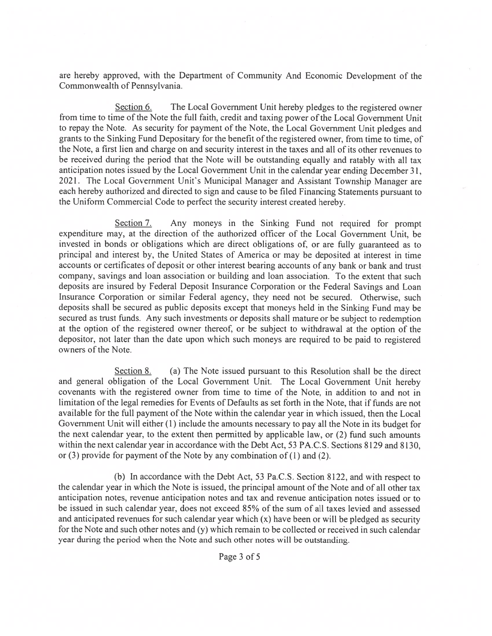are hereby approved, with the Department of Community And Economic Development of the Commonwealth of Pennsylvania.

Section 6. The Local Government Unit hereby pledges to the registered owner from time to time of the Note the full faith, credit and taxing power of the Local Government Unit to repay the Note. As security for paymen<sup>t</sup> of the Note, the Local Government Unit <sup>p</sup>ledges and grants to the Sinking Fund Depositary for the benefit of the registered owner, from time to time, of the Note, <sup>a</sup> first lien and charge on and security interest in the taxes and all of its other revenues to be received during the period that the Note will be outstanding equally and ratably with all tax anticipation notes issued by the Local Government Unit in the calendar year ending December 31, 2021. The Local Government Unit's Municipal Manager and Assistant Township Manager are each hereby authorized and directed to sign and cause to be filed Financing Statements pursuan<sup>t</sup> to the Uniform Commercial Code to perfect the security interest created hereby.

Section 7. Any moneys in the Sinking Fund not required for prompt expenditure may, at the direction of the authorized officer of the Local Government Unit, be invested in bonds or obligations which are direct obligations of, or are fully guaranteed as to principal and interest by, the United States of America or may be deposited at interest in time accounts or certificates of deposit or other interest bearing accounts of any bank or bank and trust company, savings and loan association or building and loan association. To the extent that such deposits are insured by Federal Deposit Insurance Corporation or the Federal Savings and Loan Insurance Corporation or similar Federal agency, they need not be secured. Otherwise, such deposits shall be secured as public deposits excep<sup>t</sup> that moneys held in the Sinking Fund may be secured as trust funds. Any such investments or deposits shall mature or be subject to redemption at the option of the registered owner thereof, or be subject to withdrawal at the option of the depositor, not later than the date upon which such moneys are required to be paid to registered owners of the Note.

Section 8. (a) The Note issued pursuant to this Resolution shall be the direct and genera<sup>l</sup> obligation of the Local Government Unit. The Local Government Unit hereby covenants with the registered owner from time to time of the Note, in addition to and not in limitation of the legal remedies for Events of Defaults as set forth in the Note, that if funds are not available for the full paymen<sup>t</sup> of the Note within the calendar year in which issued, then the Local Government Unit will either (1) include the amounts necessary to pay all the Note in its budget for the next calendar year, to the extent then permitted by applicable law, or (2) fund such amounts within the next calendar year in accordance with the Debt Act, 53 PA.C.S. Sections 8129 and 8130, or  $(3)$  provide for payment of the Note by any combination of  $(1)$  and  $(2)$ .

(b) In accordance with the Debt Act, 53 Pa.C.S. Section 8122, and with respec<sup>t</sup> to the calendar year in which the Note is issued, the principal amount of the Note and of all other tax anticipation notes, revenue anticipation notes and tax and revenue anticipation notes issued or to be issued in such calendar year, does not exceed 85% of the sum of all taxes levied and assessed and anticipated revenues for such calendar year which (x) have been or will be <sup>p</sup>ledged as security for the Note and such other notes and (y) which remain to be collected or received in such calendar year during the period when the Note and such other notes will be outstanding.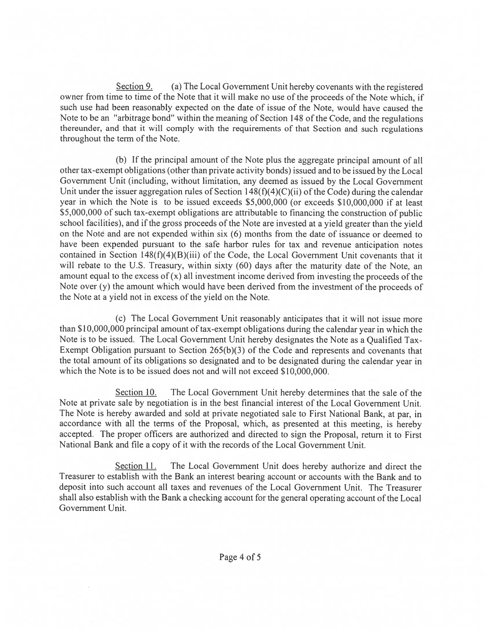Section 9. (a) The Local Government Unit hereby covenants with the registered owner from time to time of the Note that it will make no use of the proceeds of the Note which, if such use had been reasonably expected on the date of issue of the Note, would have caused the Note to be an "arbitrage bond" within the meaning of Section 148 of the Code, and the regulations thereunder, and that it will comply with the requirements of that Section and such regulations throughout the term of the Note.

(b) If the principal amount of the Note <sup>p</sup>lus the aggregate principal amount of all other tax-exempt obligations (other than private activity bonds) issued and to be issued by the Local Government Unit (including, without limitation, any deemed as issued by the Local Government Unit under the issuer aggregation rules of Section  $148(f)(4)(C)(ii)$  of the Code) during the calendar year in which the Note is to be issued exceeds \$5,000,000 (or exceeds \$10,000,000 if at least \$5,000,000 of such tax-exempt obligations are attributable to financing the construction of public school facilities), and if the gross proceeds of the Note are invested at <sup>a</sup> <sup>y</sup>ield greater than the <sup>y</sup>ield on the Note and are not expended within six (6) months from the date of issuance or deemed to have been expended pursuan<sup>t</sup> to the safe harbor rules for tax and revenue anticipation notes contained in Section  $148(f)(4)(B)(iii)$  of the Code, the Local Government Unit covenants that it will rebate to the U.S. Treasury, within sixty (60) days after the maturity date of the Note, an amount equal to the excess of  $(x)$  all investment income derived from investing the proceeds of the Note over (y) the amount which would have been derived from the investment of the proceeds of the Note at <sup>a</sup> yield not in excess of the yield on the Note.

(c) The Local Government Unit reasonably anticipates that it will not issue more than \$10,000,000 principal amount of tax-exempt obligations during the calendar year in which the Note is to be issued. The Local Government Unit hereby designates the Note as <sup>a</sup> Qualified Tax-Exempt Obligation pursuan<sup>t</sup> to Section 265(b)(3) of the Code and represents and covenants that the total amount of its obligations so designated and to be designated during the calendar year in which the Note is to be issued does not and will not exceed \$10,000,000.

Section 10. The Local Government Unit hereby determines that the sale of the Note at private sale by negotiation is in the best financial interest of the Local Government Unit. The Note is hereby awarded and sold at private negotiated sale to First National Bank, at par, in accordance with all the terms of the Proposal, which, as presented at this meeting, is hereby accepted. The proper officers are authorized and directed to sign the Proposal, return it to First National Bank and file <sup>a</sup> copy of it with the records of the Local Government Unit.

Section 11. The Local Government Unit does hereby authorize and direct the Treasurer to establish with the Bank an interest bearing account or accounts with the Bank and to deposit into such account all taxes and revenues of the Local Government Unit. The Treasurer shall also establish with the Bank a checking account for the general operating account of the Local Government Unit.